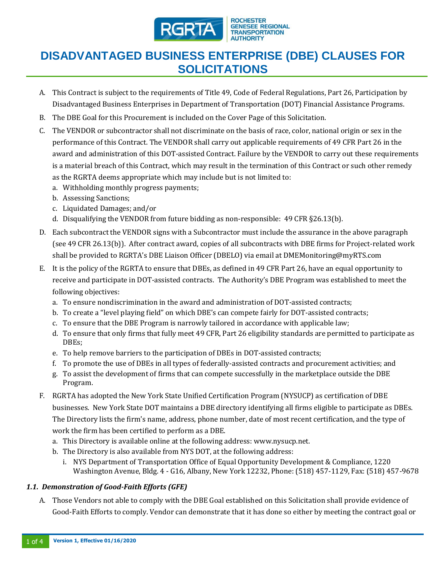

#### **ROCHESTER GENESEE REGIONAL TRANSPORTATION AUTHORITY**

# **DISADVANTAGED BUSINESS ENTERPRISE (DBE) CLAUSES FOR SOLICITATIONS**

- A. This Contract is subject to the requirements of Title 49, Code of Federal Regulations, Part 26, Participation by Disadvantaged Business Enterprises in Department of Transportation (DOT) Financial Assistance Programs.
- B. The DBE Goal for this Procurement is included on the Cover Page of this Solicitation.
- C. The VENDOR or subcontractor shall not discriminate on the basis of race, color, national origin or sex in the performance of this Contract. The VENDOR shall carry out applicable requirements of 49 CFR Part 26 in the award and administration of this DOT-assisted Contract. Failure by the VENDOR to carry out these requirements is a material breach of this Contract, which may result in the termination of this Contract or such other remedy as the RGRTA deems appropriate which may include but is not limited to:
	- a. Withholding monthly progress payments;
	- b. Assessing Sanctions;
	- c. Liquidated Damages; and/or
	- d. Disqualifying the VENDOR from future bidding as non-responsible: 49 CFR §26.13(b).
- D. Each subcontract the VENDOR signs with a Subcontractor must include the assurance in the above paragraph (see 49 CFR 26.13(b)). After contract award, copies of all subcontracts with DBE firms for Project-related work shall be provided to RGRTA's DBE Liaison Officer (DBELO) via email at DMEMonitoring@myRTS.com
- E. It is the policy of the RGRTA to ensure that DBEs, as defined in 49 CFR Part 26, have an equal opportunity to receive and participate in DOT-assisted contracts. The Authority's DBE Program was established to meet the following objectives:
	- a. To ensure nondiscrimination in the award and administration of DOT-assisted contracts;
	- b. To create a "level playing field" on which DBE's can compete fairly for DOT-assisted contracts;
	- c. To ensure that the DBE Program is narrowly tailored in accordance with applicable law;
	- d. To ensure that only firms that fully meet 49 CFR, Part 26 eligibility standards are permitted to participate as DBEs;
	- e. To help remove barriers to the participation of DBEs in DOT-assisted contracts;
	- f. To promote the use of DBEs in all types of federally-assisted contracts and procurement activities; and
	- g. To assist the development of firms that can compete successfully in the marketplace outside the DBE Program.
- F. RGRTA has adopted the New York State Unified Certification Program (NYSUCP) as certification of DBE businesses. New York State DOT maintains a DBE directory identifying all firms eligible to participate as DBEs. The Directory lists the firm's name, address, phone number, date of most recent certification, and the type of work the firm has been certified to perform as a DBE.
	- a. This Directory is available online at the following address: www.nysucp.net.
	- b. The Directory is also available from NYS DOT, at the following address:
		- i. NYS Department of Transportation Office of Equal Opportunity Development & Compliance, 1220 Washington Avenue, Bldg. 4 - G16, Albany, New York 12232, Phone: (518) 457-1129, Fax: (518) 457-9678

### *1.1. Demonstration of Good-Faith Efforts (GFE)*

A. Those Vendors not able to comply with the DBE Goal established on this Solicitation shall provide evidence of Good-Faith Efforts to comply. Vendor can demonstrate that it has done so either by meeting the contract goal or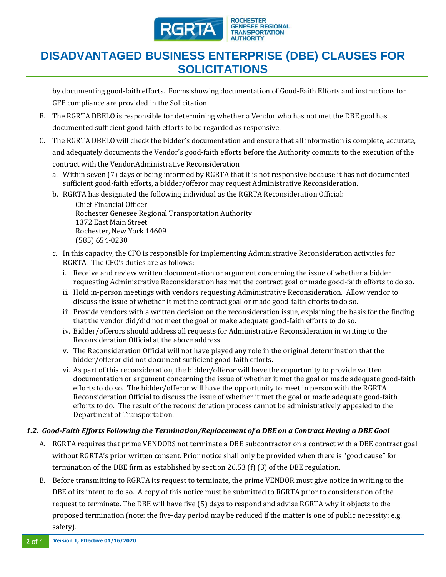

# **DISADVANTAGED BUSINESS ENTERPRISE (DBE) CLAUSES FOR SOLICITATIONS**

by documenting good-faith efforts. Forms showing documentation of Good-Faith Efforts and instructions for GFE compliance are provided in the Solicitation.

- B. The RGRTA DBELO is responsible for determining whether a Vendor who has not met the DBE goal has documented sufficient good-faith efforts to be regarded as responsive.
- C. The RGRTA DBELO will check the bidder's documentation and ensure that all information is complete, accurate, and adequately documents the Vendor's good-faith efforts before the Authority commits to the execution of the contract with the Vendor.Administrative Reconsideration
	- a. Within seven (7) days of being informed by RGRTA that it is not responsive because it has not documented sufficient good-faith efforts, a bidder/offeror may request Administrative Reconsideration.
	- b. RGRTA has designated the following individual as the RGRTA Reconsideration Official:

Chief Financial Officer Rochester Genesee Regional Transportation Authority 1372 East Main Street Rochester, New York 14609 (585) 654-0230

- c. In this capacity, the CFO is responsible for implementing Administrative Reconsideration activities for RGRTA. The CFO's duties are as follows:
	- i. Receive and review written documentation or argument concerning the issue of whether a bidder requesting Administrative Reconsideration has met the contract goal or made good-faith efforts to do so.
	- ii. Hold in-person meetings with vendors requesting Administrative Reconsideration. Allow vendor to discuss the issue of whether it met the contract goal or made good-faith efforts to do so.
	- iii. Provide vendors with a written decision on the reconsideration issue, explaining the basis for the finding that the vendor did/did not meet the goal or make adequate good-faith efforts to do so.
	- iv. Bidder/offerors should address all requests for Administrative Reconsideration in writing to the Reconsideration Official at the above address.
	- v. The Reconsideration Official will not have played any role in the original determination that the bidder/offeror did not document sufficient good-faith efforts.
	- vi. As part of this reconsideration, the bidder/offeror will have the opportunity to provide written documentation or argument concerning the issue of whether it met the goal or made adequate good-faith efforts to do so. The bidder/offeror will have the opportunity to meet in person with the RGRTA Reconsideration Official to discuss the issue of whether it met the goal or made adequate good-faith efforts to do. The result of the reconsideration process cannot be administratively appealed to the Department of Transportation.

#### *1.2. Good-Faith Efforts Following the Termination/Replacement of a DBE on a Contract Having a DBE Goal*

- A. RGRTA requires that prime VENDORS not terminate a DBE subcontractor on a contract with a DBE contract goal without RGRTA's prior written consent. Prior notice shall only be provided when there is "good cause" for termination of the DBE firm as established by section 26.53 (f) (3) of the DBE regulation.
- B. Before transmitting to RGRTA its request to terminate, the prime VENDOR must give notice in writing to the DBE of its intent to do so. A copy of this notice must be submitted to RGRTA prior to consideration of the request to terminate. The DBE will have five (5) days to respond and advise RGRTA why it objects to the proposed termination (note: the five-day period may be reduced if the matter is one of public necessity; e.g. safety).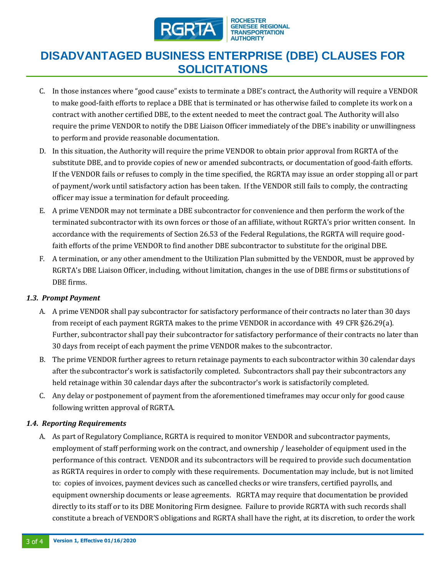

# **DISADVANTAGED BUSINESS ENTERPRISE (DBE) CLAUSES FOR SOLICITATIONS**

- C. In those instances where "good cause" exists to terminate a DBE's contract, the Authority will require a VENDOR to make good-faith efforts to replace a DBE that is terminated or has otherwise failed to complete its work on a contract with another certified DBE, to the extent needed to meet the contract goal. The Authority will also require the prime VENDOR to notify the DBE Liaison Officer immediately of the DBE's inability or unwillingness to perform and provide reasonable documentation.
- D. In this situation, the Authority will require the prime VENDOR to obtain prior approval from RGRTA of the substitute DBE, and to provide copies of new or amended subcontracts, or documentation of good-faith efforts. If the VENDOR fails or refuses to comply in the time specified, the RGRTA may issue an order stopping all or part of payment/work until satisfactory action has been taken. If the VENDOR still fails to comply, the contracting officer may issue a termination for default proceeding.
- E. A prime VENDOR may not terminate a DBE subcontractor for convenience and then perform the work of the terminated subcontractor with its own forces or those of an affiliate, without RGRTA's prior written consent. In accordance with the requirements of Section 26.53 of the Federal Regulations, the RGRTA will require goodfaith efforts of the prime VENDOR to find another DBE subcontractor to substitute for the original DBE.
- F. A termination, or any other amendment to the Utilization Plan submitted by the VENDOR, must be approved by RGRTA's DBE Liaison Officer, including, without limitation, changes in the use of DBE firms or substitutions of DBE firms.

#### *1.3. Prompt Payment*

- A. A prime VENDOR shall pay subcontractor for satisfactory performance of their contracts no later than 30 days from receipt of each payment RGRTA makes to the prime VENDOR in accordance with 49 CFR §26.29(a). Further, subcontractor shall pay their subcontractor for satisfactory performance of their contracts no later than 30 days from receipt of each payment the prime VENDOR makes to the subcontractor.
- B. The prime VENDOR further agrees to return retainage payments to each subcontractor within 30 calendar days after the subcontractor's work is satisfactorily completed. Subcontractors shall pay their subcontractors any held retainage within 30 calendar days after the subcontractor's work is satisfactorily completed.
- C. Any delay or postponement of payment from the aforementioned timeframes may occur only for good cause following written approval of RGRTA.

#### *1.4. Reporting Requirements*

A. As part of Regulatory Compliance, RGRTA is required to monitor VENDOR and subcontractor payments, employment of staff performing work on the contract, and ownership / leaseholder of equipment used in the performance of this contract. VENDOR and its subcontractors will be required to provide such documentation as RGRTA requires in order to comply with these requirements. Documentation may include, but is not limited to: copies of invoices, payment devices such as cancelled checks or wire transfers, certified payrolls, and equipment ownership documents or lease agreements. RGRTA may require that documentation be provided directly to its staff or to its DBE Monitoring Firm designee. Failure to provide RGRTA with such records shall constitute a breach of VENDOR'S obligations and RGRTA shall have the right, at its discretion, to order the work